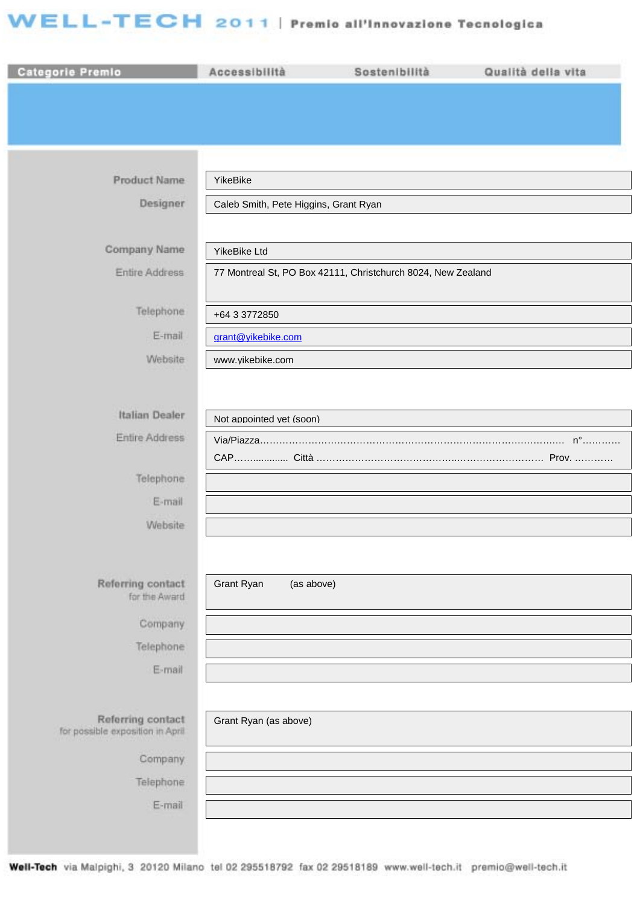## WELL-TECH 2011 | Premio all'Innovazione Tecnologica

| Categorie Premio                                      | Accessibilità                                                | Sostenibilità | Qualità della vita |  |
|-------------------------------------------------------|--------------------------------------------------------------|---------------|--------------------|--|
|                                                       |                                                              |               |                    |  |
|                                                       |                                                              |               |                    |  |
|                                                       |                                                              |               |                    |  |
| Product Name                                          | YikeBike                                                     |               |                    |  |
| Designer                                              | Caleb Smith, Pete Higgins, Grant Ryan                        |               |                    |  |
|                                                       |                                                              |               |                    |  |
| Company Name                                          | YikeBike Ltd                                                 |               |                    |  |
| Entire Address                                        | 77 Montreal St, PO Box 42111, Christchurch 8024, New Zealand |               |                    |  |
| Telephone                                             | +64 3 3772850                                                |               |                    |  |
| E-mail                                                | grant@yikebike.com                                           |               |                    |  |
| Website                                               | www.yikebike.com                                             |               |                    |  |
|                                                       |                                                              |               |                    |  |
| Italian Dealer                                        | Not appointed vet (soon)                                     |               |                    |  |
| Entire Address                                        |                                                              |               |                    |  |
|                                                       |                                                              |               |                    |  |
| Telephone<br>E-mail                                   |                                                              |               |                    |  |
| Website                                               |                                                              |               |                    |  |
|                                                       |                                                              |               |                    |  |
|                                                       |                                                              |               |                    |  |
| Referring contact<br>for the Award                    | Grant Ryan<br>(as above)                                     |               |                    |  |
| Company                                               |                                                              |               |                    |  |
| Telephone                                             |                                                              |               |                    |  |
| E-mail                                                |                                                              |               |                    |  |
|                                                       |                                                              |               |                    |  |
| Referring contact<br>for possible exposition in April | Grant Ryan (as above)                                        |               |                    |  |
| Company                                               |                                                              |               |                    |  |
| Telephone                                             |                                                              |               |                    |  |
| E-mail                                                |                                                              |               |                    |  |
|                                                       |                                                              |               |                    |  |